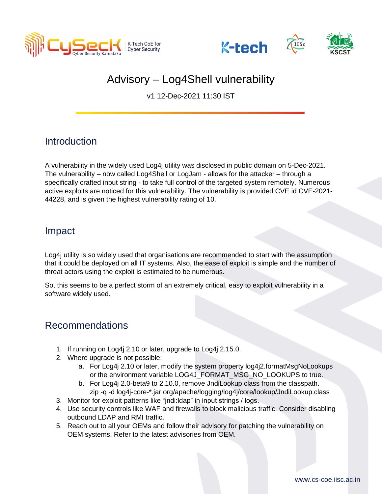





# Advisory – Log4Shell vulnerability

v1 12-Dec-2021 11:30 IST

## **Introduction**

A vulnerability in the widely used Log4j utility was disclosed in public domain on 5-Dec-2021. The vulnerability – now called Log4Shell or LogJam - allows for the attacker – through a specifically crafted input string - to take full control of the targeted system remotely. Numerous active exploits are noticed for this vulnerability. The vulnerability is provided CVE id CVE-2021- 44228, and is given the highest vulnerability rating of 10.

### Impact

Log4j utility is so widely used that organisations are recommended to start with the assumption that it could be deployed on all IT systems. Also, the ease of exploit is simple and the number of threat actors using the exploit is estimated to be numerous.

So, this seems to be a perfect storm of an extremely critical, easy to exploit vulnerability in a software widely used.

## Recommendations

- 1. If running on Log4j 2.10 or later, upgrade to Log4j 2.15.0.
- 2. Where upgrade is not possible:
	- a. For Log4j 2.10 or later, modify the system property log4j2.formatMsgNoLookups or the environment variable LOG4J\_FORMAT\_MSG\_NO\_LOOKUPS to true.
	- b. For Log4j 2.0-beta9 to 2.10.0, remove JndiLookup class from the classpath. zip -q -d log4j-core-\*.jar org/apache/logging/log4j/core/lookup/JndiLookup.class
- 3. Monitor for exploit patterns like "jndi:ldap" in input strings / logs.
- 4. Use security controls like WAF and firewalls to block malicious traffic. Consider disabling outbound LDAP and RMI traffic.
- 5. Reach out to all your OEMs and follow their advisory for patching the vulnerability on OEM systems. Refer to the latest advisories from OEM.